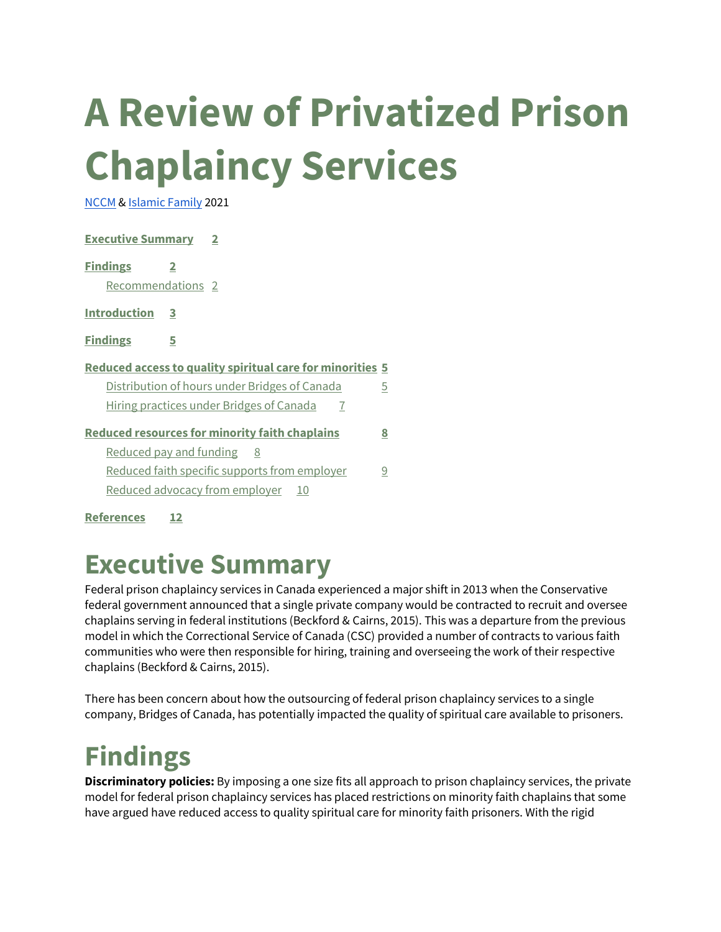# **A Review of Privatized Prison Chaplaincy Services**

[NCCM](https://www.nccm.ca/) [& Islamic Family](https://www.ifssa.ca/) 2021

| <b>Executive Summary 2</b>                                       |                                                            |   |
|------------------------------------------------------------------|------------------------------------------------------------|---|
| <b>Findings</b><br>$\mathbf{2}$<br>Recommendations <sub>2</sub>  |                                                            |   |
| Introduction 3                                                   |                                                            |   |
| <b>Findings</b><br>5                                             |                                                            |   |
| <b>Reduced access to quality spiritual care for minorities 5</b> |                                                            |   |
|                                                                  | Distribution of hours under Bridges of Canada              | 5 |
|                                                                  | Hiring practices under Bridges of Canada<br>$\overline{7}$ |   |
|                                                                  | <b>Reduced resources for minority faith chaplains</b>      | 8 |
| <u>Reduced pay and funding 8</u>                                 |                                                            |   |
|                                                                  | <u>Reduced faith specific supports from employer</u>       | 9 |
|                                                                  | <u>Reduced advocacy from employer 10</u>                   |   |
| <b>References</b>                                                |                                                            |   |

# **Executive Summary**

Federal prison chaplaincy services in Canada experienced a major shift in 2013 when the Conservative federal government announced that a single private company would be contracted to recruit and oversee chaplains serving in federal institutions (Beckford & Cairns, 2015). This was a departure from the previous model in which the Correctional Service of Canada (CSC) provided a number of contracts to various faith communities who were then responsible for hiring, training and overseeing the work of their respective chaplains (Beckford & Cairns, 2015).

There has been concern about how the outsourcing of federal prison chaplaincy services to a single company, Bridges of Canada, has potentially impacted the quality of spiritual care available to prisoners.

# **Findings**

**Discriminatory policies:** By imposing a one size fits all approach to prison chaplaincy services, the private model for federal prison chaplaincy services has placed restrictions on minority faith chaplains that some have argued have reduced access to quality spiritual care for minority faith prisoners. With the rigid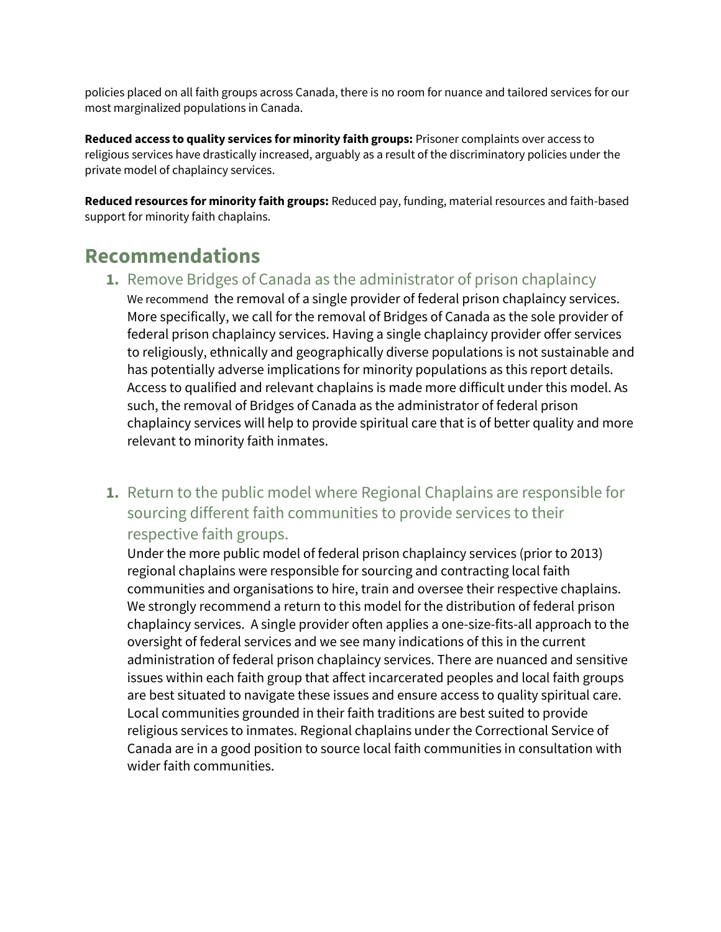policies placed on all faith groups across Canada, there is no room for nuance and tailored services for our most marginalized populations in Canada.

**Reduced access to quality services for minority faith groups:** Prisoner complaints over access to religious services have drastically increased, arguably as a result of the discriminatory policies under the private model of chaplaincy services.

**Reduced resources for minority faith groups:** Reduced pay, funding, material resources and faith-based support for minority faith chaplains.

### **Recommendations**

**1.** Remove Bridges of Canada as the administrator of prison chaplaincy

We recommend the removal of a single provider of federal prison chaplaincy services. More specifically, we call for the removal of Bridges of Canada as the sole provider of federal prison chaplaincy services. Having a single chaplaincy provider offer services to religiously, ethnically and geographically diverse populations is not sustainable and has potentially adverse implications for minority populations as this report details. Access to qualified and relevant chaplains is made more difficult under this model. As such, the removal of Bridges of Canada as the administrator of federal prison chaplaincy services will help to provide spiritual care that is of better quality and more relevant to minority faith inmates.

**1.** Return to the public model where Regional Chaplains are responsible for sourcing different faith communities to provide services to their respective faith groups.

Under the more public model of federal prison chaplaincy services (prior to 2013) regional chaplains were responsible for sourcing and contracting local faith communities and organisations to hire, train and oversee their respective chaplains. We strongly recommend a return to this model for the distribution of federal prison chaplaincy services. A single provider often applies a one-size-fits-all approach to the oversight of federal services and we see many indications of this in the current administration of federal prison chaplaincy services. There are nuanced and sensitive issues within each faith group that affect incarcerated peoples and local faith groups are best situated to navigate these issues and ensure access to quality spiritual care. Local communities grounded in their faith traditions are best suited to provide religious services to inmates. Regional chaplains under the Correctional Service of Canada are in a good position to source local faith communities in consultation with wider faith communities.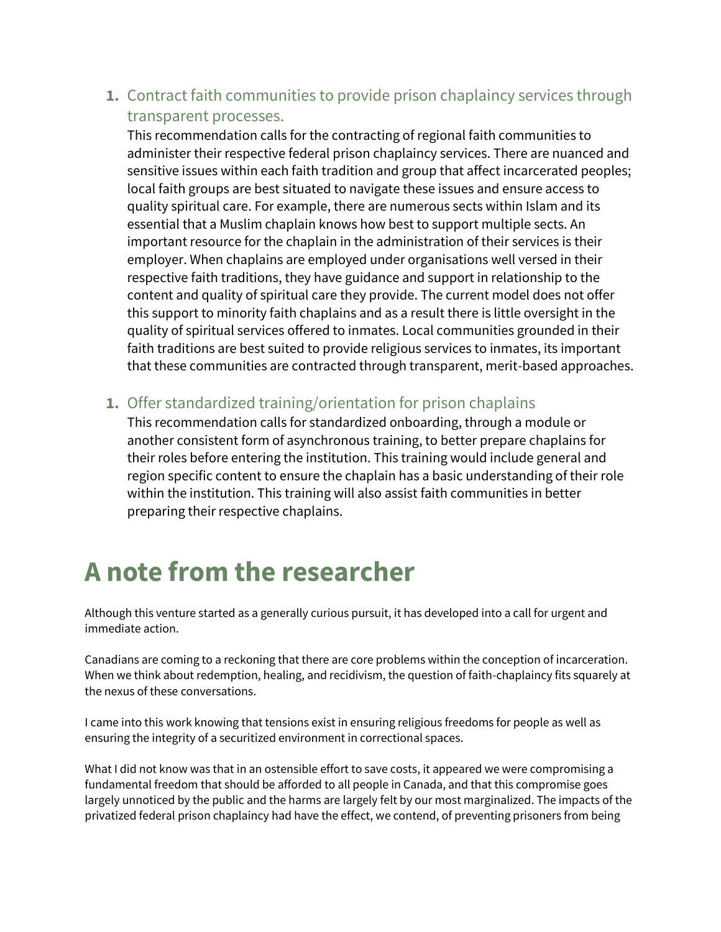**1.** Contract faith communities to provide prison chaplaincy services through transparent processes.

This recommendation calls for the contracting of regional faith communities to administer their respective federal prison chaplaincy services. There are nuanced and sensitive issues within each faith tradition and group that affect incarcerated peoples; local faith groups are best situated to navigate these issues and ensure access to quality spiritual care. For example, there are numerous sects within Islam and its essential that a Muslim chaplain knows how best to support multiple sects. An important resource for the chaplain in the administration of their services is their employer. When chaplains are employed under organisations well versed in their respective faith traditions, they have guidance and support in relationship to the content and quality of spiritual care they provide. The current model does not offer this support to minority faith chaplains and as a result there is little oversight in the quality of spiritual services offered to inmates. Local communities grounded in their faith traditions are best suited to provide religious services to inmates, its important that these communities are contracted through transparent, merit-based approaches.

**1.** Offer standardized training/orientation for prison chaplains

This recommendation calls for standardized onboarding, through a module or another consistent form of asynchronous training, to better prepare chaplains for their roles before entering the institution. This training would include general and region specific content to ensure the chaplain has a basic understanding of their role within the institution. This training will also assist faith communities in better preparing their respective chaplains.

# **A note from the researcher**

Although this venture started as a generally curious pursuit, it has developed into a call for urgent and immediate action.

Canadians are coming to a reckoning that there are core problems within the conception of incarceration. When we think about redemption, healing, and recidivism, the question of faith-chaplaincy fits squarely at the nexus of these conversations.

I came into this work knowing that tensions exist in ensuring religious freedoms for people as well as ensuring the integrity of a securitized environment in correctional spaces.

What I did not know was that in an ostensible effort to save costs, it appeared we were compromising a fundamental freedom that should be afforded to all people in Canada, and that this compromise goes largely unnoticed by the public and the harms are largely felt by our most marginalized. The impacts of the privatized federal prison chaplaincy had have the effect, we contend, of preventing prisoners from being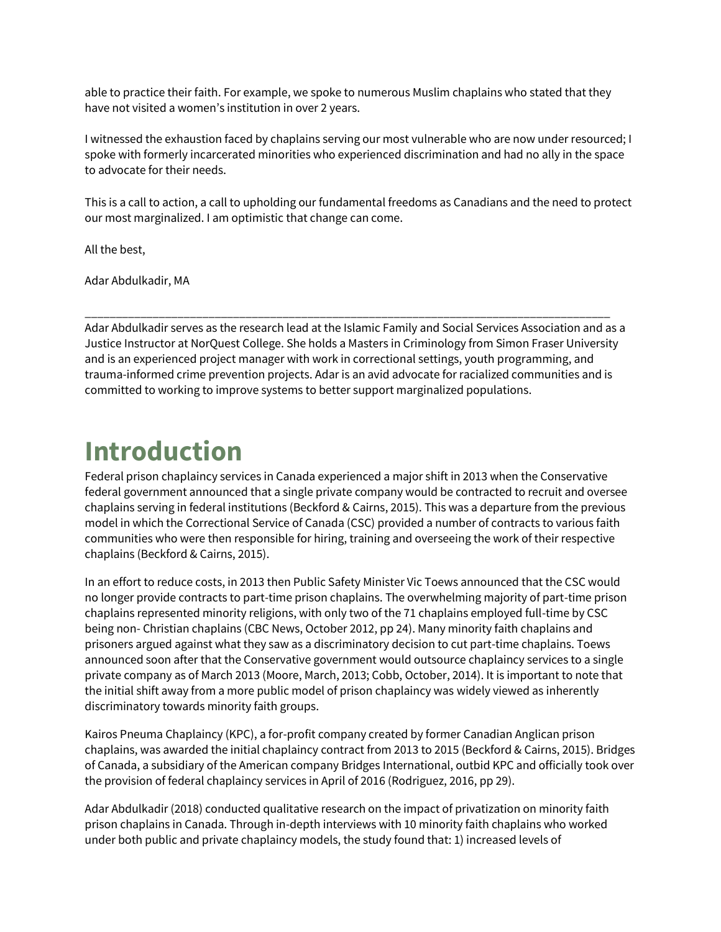able to practice their faith. For example, we spoke to numerous Muslim chaplains who stated that they have not visited a women's institution in over 2 years.

I witnessed the exhaustion faced by chaplains serving our most vulnerable who are now under resourced; I spoke with formerly incarcerated minorities who experienced discrimination and had no ally in the space to advocate for their needs.

This is a call to action, a call to upholding our fundamental freedoms as Canadians and the need to protect our most marginalized. I am optimistic that change can come.

All the best,

Adar Abdulkadir, MA

Adar Abdulkadir serves as the research lead at the Islamic Family and Social Services Association and as a Justice Instructor at NorQuest College. She holds a Masters in Criminology from Simon Fraser University and is an experienced project manager with work in correctional settings, youth programming, and trauma-informed crime prevention projects. Adar is an avid advocate for racialized communities and is committed to working to improve systems to better support marginalized populations.

\_\_\_\_\_\_\_\_\_\_\_\_\_\_\_\_\_\_\_\_\_\_\_\_\_\_\_\_\_\_\_\_\_\_\_\_\_\_\_\_\_\_\_\_\_\_\_\_\_\_\_\_\_\_\_\_\_\_\_\_\_\_\_\_\_\_\_\_\_\_\_\_\_\_\_\_\_\_\_\_\_\_\_\_\_

# **Introduction**

Federal prison chaplaincy services in Canada experienced a major shift in 2013 when the Conservative federal government announced that a single private company would be contracted to recruit and oversee chaplains serving in federal institutions (Beckford & Cairns, 2015). This was a departure from the previous model in which the Correctional Service of Canada (CSC) provided a number of contracts to various faith communities who were then responsible for hiring, training and overseeing the work of their respective chaplains (Beckford & Cairns, 2015).

In an effort to reduce costs, in 2013 then Public Safety Minister Vic Toews announced that the CSC would no longer provide contracts to part-time prison chaplains. The overwhelming majority of part-time prison chaplains represented minority religions, with only two of the 71 chaplains employed full-time by CSC being non- Christian chaplains (CBC News, October 2012, pp 24). Many minority faith chaplains and prisoners argued against what they saw as a discriminatory decision to cut part-time chaplains. Toews announced soon after that the Conservative government would outsource chaplaincy services to a single private company as of March 2013 (Moore, March, 2013; Cobb, October, 2014). It is important to note that the initial shift away from a more public model of prison chaplaincy was widely viewed as inherently discriminatory towards minority faith groups.

Kairos Pneuma Chaplaincy (KPC), a for-profit company created by former Canadian Anglican prison chaplains, was awarded the initial chaplaincy contract from 2013 to 2015 (Beckford & Cairns, 2015). Bridges of Canada, a subsidiary of the American company Bridges International, outbid KPC and officially took over the provision of federal chaplaincy services in April of 2016 (Rodriguez, 2016, pp 29).

Adar Abdulkadir (2018) conducted qualitative research on the impact of privatization on minority faith prison chaplains in Canada. Through in-depth interviews with 10 minority faith chaplains who worked under both public and private chaplaincy models, the study found that: 1) increased levels of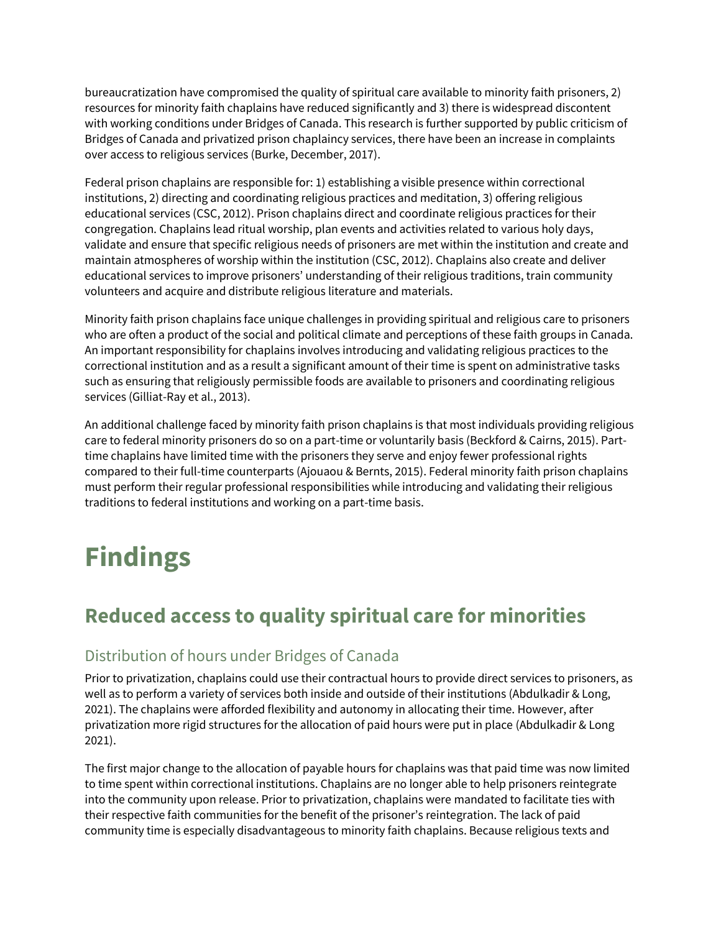bureaucratization have compromised the quality of spiritual care available to minority faith prisoners, 2) resources for minority faith chaplains have reduced significantly and 3) there is widespread discontent with working conditions under Bridges of Canada. This research is further supported by public criticism of Bridges of Canada and privatized prison chaplaincy services, there have been an increase in complaints over access to religious services (Burke, December, 2017).

Federal prison chaplains are responsible for: 1) establishing a visible presence within correctional institutions, 2) directing and coordinating religious practices and meditation, 3) offering religious educational services (CSC, 2012). Prison chaplains direct and coordinate religious practices for their congregation. Chaplains lead ritual worship, plan events and activities related to various holy days, validate and ensure that specific religious needs of prisoners are met within the institution and create and maintain atmospheres of worship within the institution (CSC, 2012). Chaplains also create and deliver educational services to improve prisoners' understanding of their religious traditions, train community volunteers and acquire and distribute religious literature and materials.

Minority faith prison chaplains face unique challenges in providing spiritual and religious care to prisoners who are often a product of the social and political climate and perceptions of these faith groups in Canada. An important responsibility for chaplains involves introducing and validating religious practices to the correctional institution and as a result a significant amount of their time is spent on administrative tasks such as ensuring that religiously permissible foods are available to prisoners and coordinating religious services (Gilliat-Ray et al., 2013).

An additional challenge faced by minority faith prison chaplains is that most individuals providing religious care to federal minority prisoners do so on a part-time or voluntarily basis (Beckford & Cairns, 2015). Parttime chaplains have limited time with the prisoners they serve and enjoy fewer professional rights compared to their full-time counterparts (Ajouaou & Bernts, 2015). Federal minority faith prison chaplains must perform their regular professional responsibilities while introducing and validating their religious traditions to federal institutions and working on a part-time basis.

# **Findings**

# **Reduced access to quality spiritual care for minorities**

#### Distribution of hours under Bridges of Canada

Prior to privatization, chaplains could use their contractual hours to provide direct services to prisoners, as well as to perform a variety of services both inside and outside of their institutions (Abdulkadir & Long, 2021). The chaplains were afforded flexibility and autonomy in allocating their time. However, after privatization more rigid structures for the allocation of paid hours were put in place (Abdulkadir & Long 2021).

The first major change to the allocation of payable hours for chaplains was that paid time was now limited to time spent within correctional institutions. Chaplains are no longer able to help prisoners reintegrate into the community upon release. Prior to privatization, chaplains were mandated to facilitate ties with their respective faith communities for the benefit of the prisoner's reintegration. The lack of paid community time is especially disadvantageous to minority faith chaplains. Because religious texts and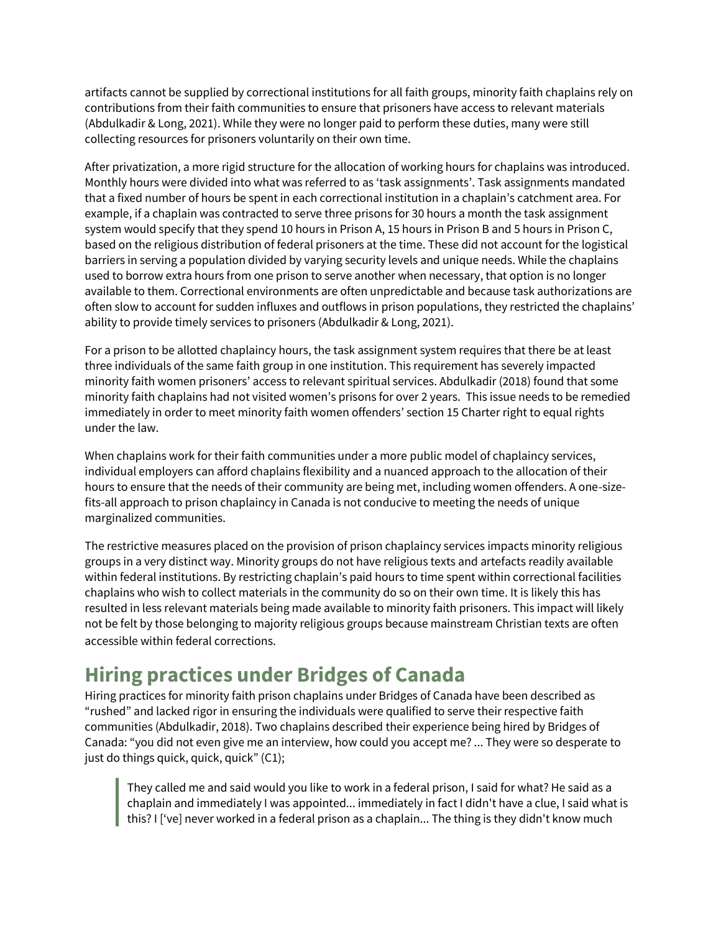artifacts cannot be supplied by correctional institutions for all faith groups, minority faith chaplains rely on contributions from their faith communities to ensure that prisoners have access to relevant materials (Abdulkadir & Long, 2021). While they were no longer paid to perform these duties, many were still collecting resources for prisoners voluntarily on their own time.

After privatization, a more rigid structure for the allocation of working hours for chaplains was introduced. Monthly hours were divided into what was referred to as 'task assignments'. Task assignments mandated that a fixed number of hours be spent in each correctional institution in a chaplain's catchment area. For example, if a chaplain was contracted to serve three prisons for 30 hours a month the task assignment system would specify that they spend 10 hours in Prison A, 15 hours in Prison B and 5 hours in Prison C, based on the religious distribution of federal prisoners at the time. These did not account for the logistical barriers in serving a population divided by varying security levels and unique needs. While the chaplains used to borrow extra hours from one prison to serve another when necessary, that option is no longer available to them. Correctional environments are often unpredictable and because task authorizations are often slow to account for sudden influxes and outflows in prison populations, they restricted the chaplains' ability to provide timely services to prisoners (Abdulkadir & Long, 2021).

For a prison to be allotted chaplaincy hours, the task assignment system requires that there be at least three individuals of the same faith group in one institution. This requirement has severely impacted minority faith women prisoners' access to relevant spiritual services. Abdulkadir (2018) found that some minority faith chaplains had not visited women's prisons for over 2 years. This issue needs to be remedied immediately in order to meet minority faith women offenders' section 15 Charter right to equal rights under the law.

When chaplains work for their faith communities under a more public model of chaplaincy services, individual employers can afford chaplains flexibility and a nuanced approach to the allocation of their hours to ensure that the needs of their community are being met, including women offenders. A one-sizefits-all approach to prison chaplaincy in Canada is not conducive to meeting the needs of unique marginalized communities.

The restrictive measures placed on the provision of prison chaplaincy services impacts minority religious groups in a very distinct way. Minority groups do not have religious texts and artefacts readily available within federal institutions. By restricting chaplain's paid hours to time spent within correctional facilities chaplains who wish to collect materials in the community do so on their own time. It is likely this has resulted in less relevant materials being made available to minority faith prisoners. This impact will likely not be felt by those belonging to majority religious groups because mainstream Christian texts are often accessible within federal corrections.

### **Hiring practices under Bridges of Canada**

Hiring practices for minority faith prison chaplains under Bridges of Canada have been described as "rushed" and lacked rigor in ensuring the individuals were qualified to serve their respective faith communities (Abdulkadir, 2018). Two chaplains described their experience being hired by Bridges of Canada: "you did not even give me an interview, how could you accept me? ... They were so desperate to just do things quick, quick, quick" (C1);

They called me and said would you like to work in a federal prison, I said for what? He said as a chaplain and immediately I was appointed... immediately in fact I didn't have a clue, I said what is this? I ['ve] never worked in a federal prison as a chaplain... The thing is they didn't know much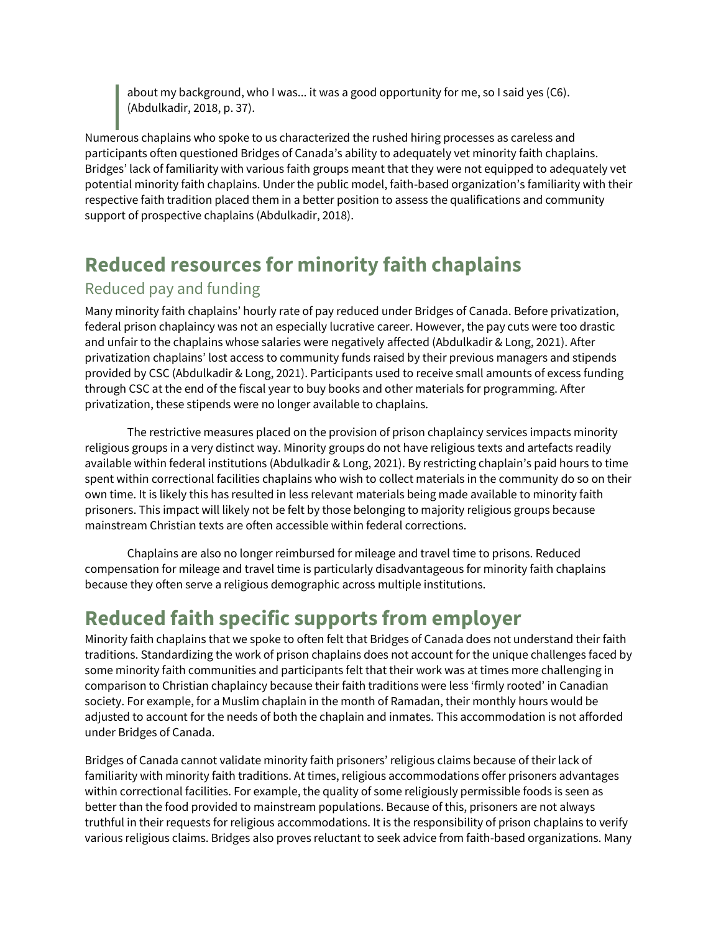about my background, who I was... it was a good opportunity for me, so I said yes (C6). (Abdulkadir, 2018, p. 37).

Numerous chaplains who spoke to us characterized the rushed hiring processes as careless and participants often questioned Bridges of Canada's ability to adequately vet minority faith chaplains. Bridges' lack of familiarity with various faith groups meant that they were not equipped to adequately vet potential minority faith chaplains. Under the public model, faith-based organization's familiarity with their respective faith tradition placed them in a better position to assess the qualifications and community support of prospective chaplains (Abdulkadir, 2018).

## **Reduced resources for minority faith chaplains**

#### Reduced pay and funding

Many minority faith chaplains' hourly rate of pay reduced under Bridges of Canada. Before privatization, federal prison chaplaincy was not an especially lucrative career. However, the pay cuts were too drastic and unfair to the chaplains whose salaries were negatively affected (Abdulkadir & Long, 2021). After privatization chaplains' lost access to community funds raised by their previous managers and stipends provided by CSC (Abdulkadir & Long, 2021). Participants used to receive small amounts of excess funding through CSC at the end of the fiscal year to buy books and other materials for programming. After privatization, these stipends were no longer available to chaplains.

 The restrictive measures placed on the provision of prison chaplaincy services impacts minority religious groups in a very distinct way. Minority groups do not have religious texts and artefacts readily available within federal institutions (Abdulkadir & Long, 2021). By restricting chaplain's paid hours to time spent within correctional facilities chaplains who wish to collect materials in the community do so on their own time. It is likely this has resulted in less relevant materials being made available to minority faith prisoners. This impact will likely not be felt by those belonging to majority religious groups because mainstream Christian texts are often accessible within federal corrections.

 Chaplains are also no longer reimbursed for mileage and travel time to prisons. Reduced compensation for mileage and travel time is particularly disadvantageous for minority faith chaplains because they often serve a religious demographic across multiple institutions.

### **Reduced faith specific supports from employer**

Minority faith chaplains that we spoke to often felt that Bridges of Canada does not understand their faith traditions. Standardizing the work of prison chaplains does not account for the unique challenges faced by some minority faith communities and participants felt that their work was at times more challenging in comparison to Christian chaplaincy because their faith traditions were less 'firmly rooted' in Canadian society. For example, for a Muslim chaplain in the month of Ramadan, their monthly hours would be adjusted to account for the needs of both the chaplain and inmates. This accommodation is not afforded under Bridges of Canada.

Bridges of Canada cannot validate minority faith prisoners' religious claims because of their lack of familiarity with minority faith traditions. At times, religious accommodations offer prisoners advantages within correctional facilities. For example, the quality of some religiously permissible foods is seen as better than the food provided to mainstream populations. Because of this, prisoners are not always truthful in their requests for religious accommodations. It is the responsibility of prison chaplains to verify various religious claims. Bridges also proves reluctant to seek advice from faith-based organizations. Many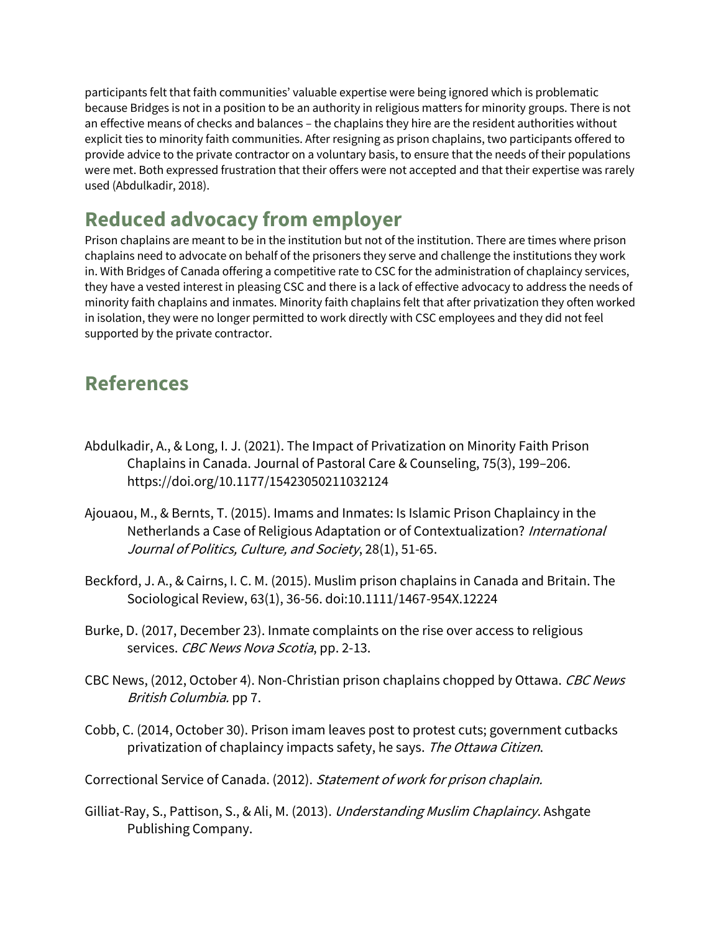participants felt that faith communities' valuable expertise were being ignored which is problematic because Bridges is not in a position to be an authority in religious matters for minority groups. There is not an effective means of checks and balances – the chaplains they hire are the resident authorities without explicit ties to minority faith communities. After resigning as prison chaplains, two participants offered to provide advice to the private contractor on a voluntary basis, to ensure that the needs of their populations were met. Both expressed frustration that their offers were not accepted and that their expertise was rarely used (Abdulkadir, 2018).

### **Reduced advocacy from employer**

Prison chaplains are meant to be in the institution but not of the institution. There are times where prison chaplains need to advocate on behalf of the prisoners they serve and challenge the institutions they work in. With Bridges of Canada offering a competitive rate to CSC for the administration of chaplaincy services, they have a vested interest in pleasing CSC and there is a lack of effective advocacy to address the needs of minority faith chaplains and inmates. Minority faith chaplains felt that after privatization they often worked in isolation, they were no longer permitted to work directly with CSC employees and they did not feel supported by the private contractor.

### **References**

- Abdulkadir, A., & Long, I. J. (2021). The Impact of Privatization on Minority Faith Prison Chaplains in Canada. Journal of Pastoral Care & Counseling, 75(3), 199–206. https://doi.org/10.1177/15423050211032124
- Ajouaou, M., & Bernts, T. (2015). Imams and Inmates: Is Islamic Prison Chaplaincy in the Netherlands a Case of Religious Adaptation or of Contextualization? International Journal of Politics, Culture, and Society, 28(1), 51-65.
- Beckford, J. A., & Cairns, I. C. M. (2015). Muslim prison chaplains in Canada and Britain. The Sociological Review, 63(1), 36-56. doi:10.1111/1467-954X.12224
- Burke, D. (2017, December 23). Inmate complaints on the rise over access to religious services. CBC News Nova Scotia, pp. 2-13.
- CBC News, (2012, October 4). Non-Christian prison chaplains chopped by Ottawa. CBC News British Columbia. pp 7.
- Cobb, C. (2014, October 30). Prison imam leaves post to protest cuts; government cutbacks privatization of chaplaincy impacts safety, he says. The Ottawa Citizen.
- Correctional Service of Canada. (2012). Statement of work for prison chaplain.
- Gilliat-Ray, S., Pattison, S., & Ali, M. (2013). Understanding Muslim Chaplaincy. Ashgate Publishing Company.